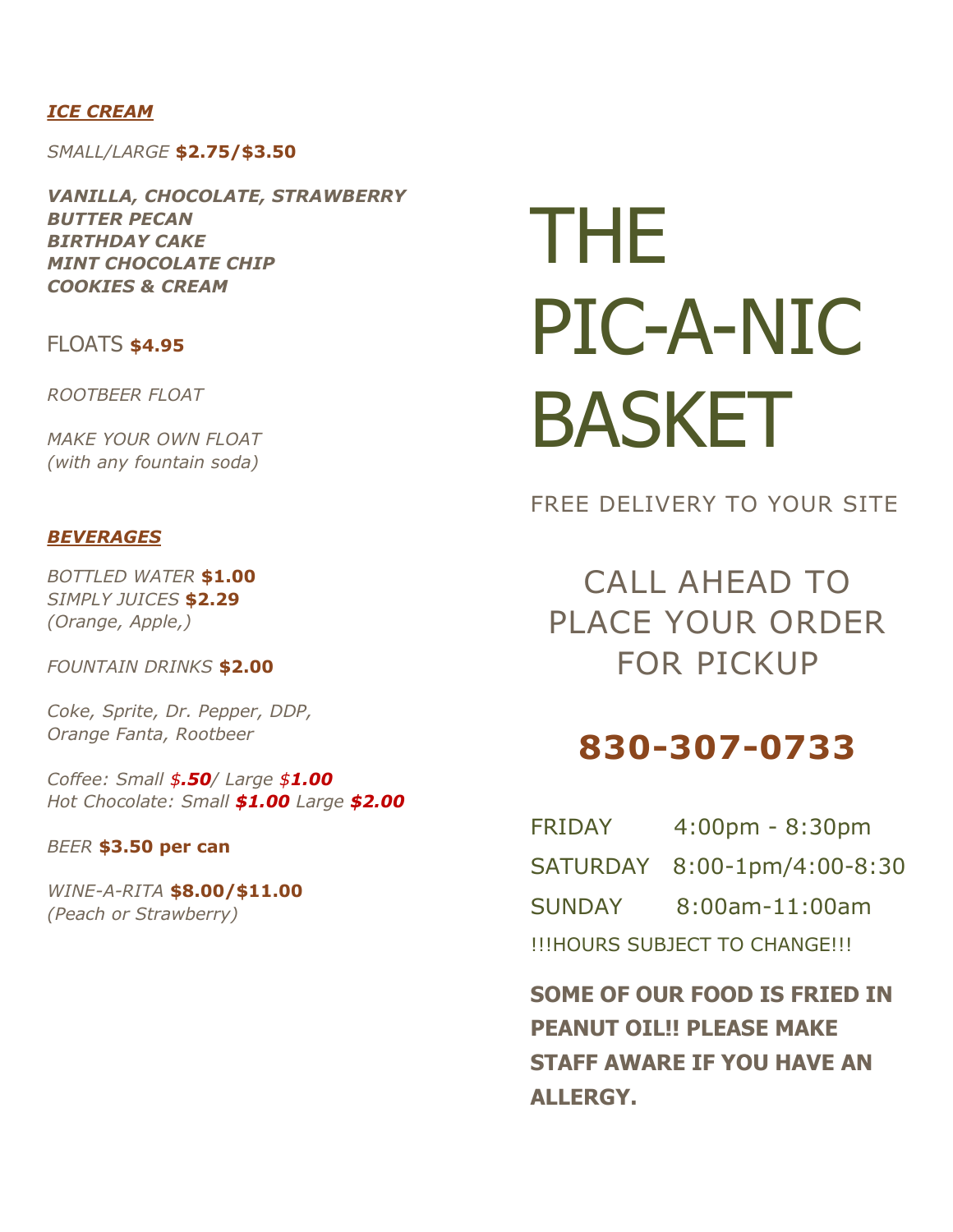#### *ICE CREAM*

*SMALL/LARGE* **\$2.75/\$3.50**

*VANILLA, CHOCOLATE, STRAWBERRY BUTTER PECAN BIRTHDAY CAKE MINT CHOCOLATE CHIP COOKIES & CREAM*

### FLOATS **\$4.95**

*ROOTBEER FLOAT*

*MAKE YOUR OWN FLOAT (with any fountain soda)*

#### *BEVERAGES*

*BOTTLED WATER* **\$1.00** *SIMPLY JUICES* **\$2.29** *(Orange, Apple,)*

*FOUNTAIN DRINKS* **\$2.00**

*Coke, Sprite, Dr. Pepper, DDP, Orange Fanta, Rootbeer*

*Coffee: Small \$.50/ Large \$1.00 Hot Chocolate: Small \$1.00 Large \$2.00*

#### *BEER* **\$3.50 per can**

*WINE-A-RITA* **\$8.00/\$11.00** *(Peach or Strawberry)*

# THE PIC-A-NIC BASKET

FREE DELIVERY TO YOUR SITE

CALL AHEAD TO PLACE YOUR ORDER FOR PICKUP

## **830-307-0733**

| <b>FRIDAY</b>                 | $4:00 \text{pm} - 8:30 \text{pm}$ |
|-------------------------------|-----------------------------------|
|                               | SATURDAY 8:00-1pm/4:00-8:30       |
| <b>SUNDAY</b>                 | $8:00$ am- $11:00$ am             |
| !!!HOURS SUBJECT TO CHANGE!!! |                                   |

**SOME OF OUR FOOD IS FRIED IN PEANUT OIL!! PLEASE MAKE STAFF AWARE IF YOU HAVE AN ALLERGY.**